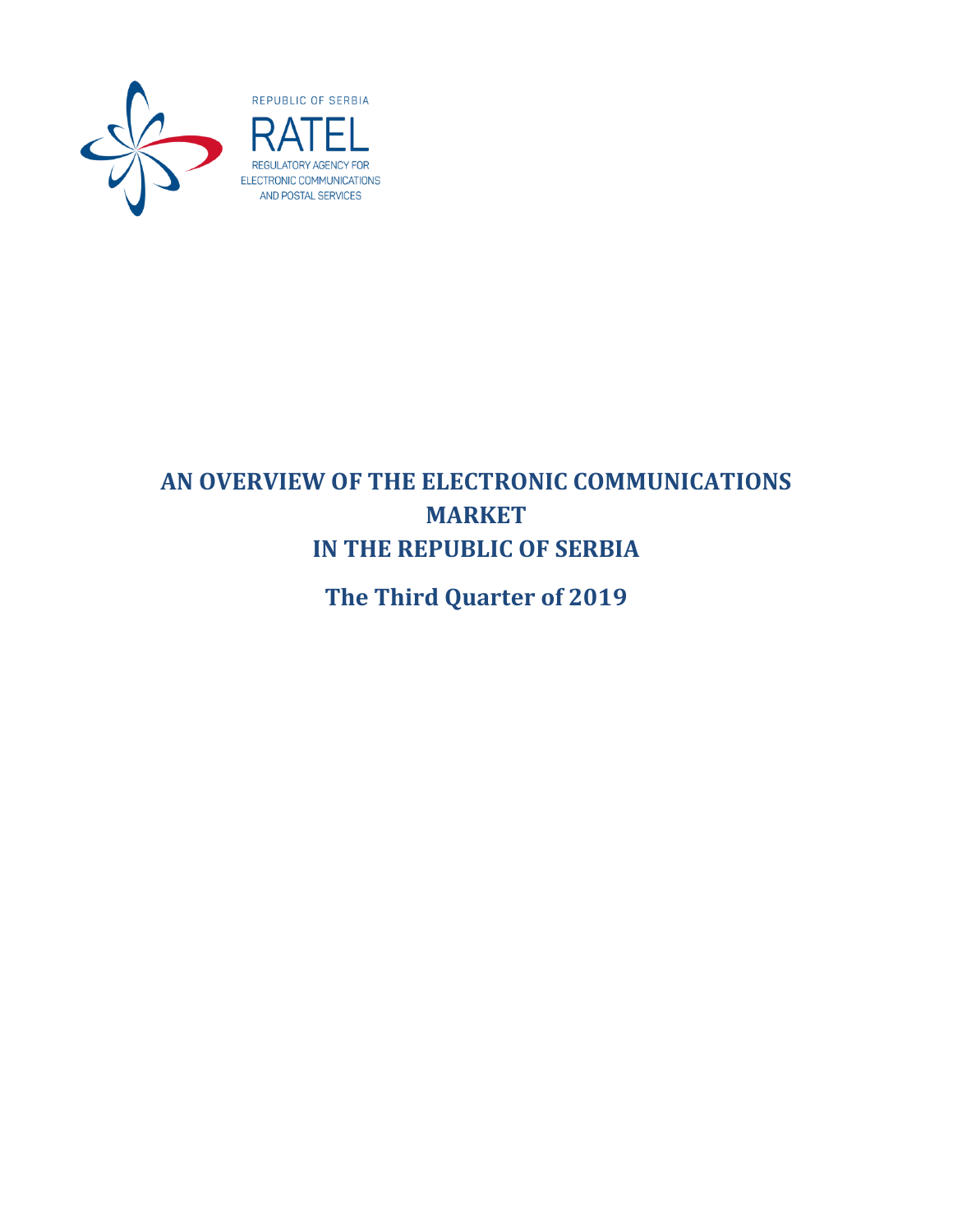

# **AN OVERVIEW OF THE ELECTRONIC COMMUNICATIONS MARKET IN THE REPUBLIC OF SERBIA**

**The Third Quarter of 2019**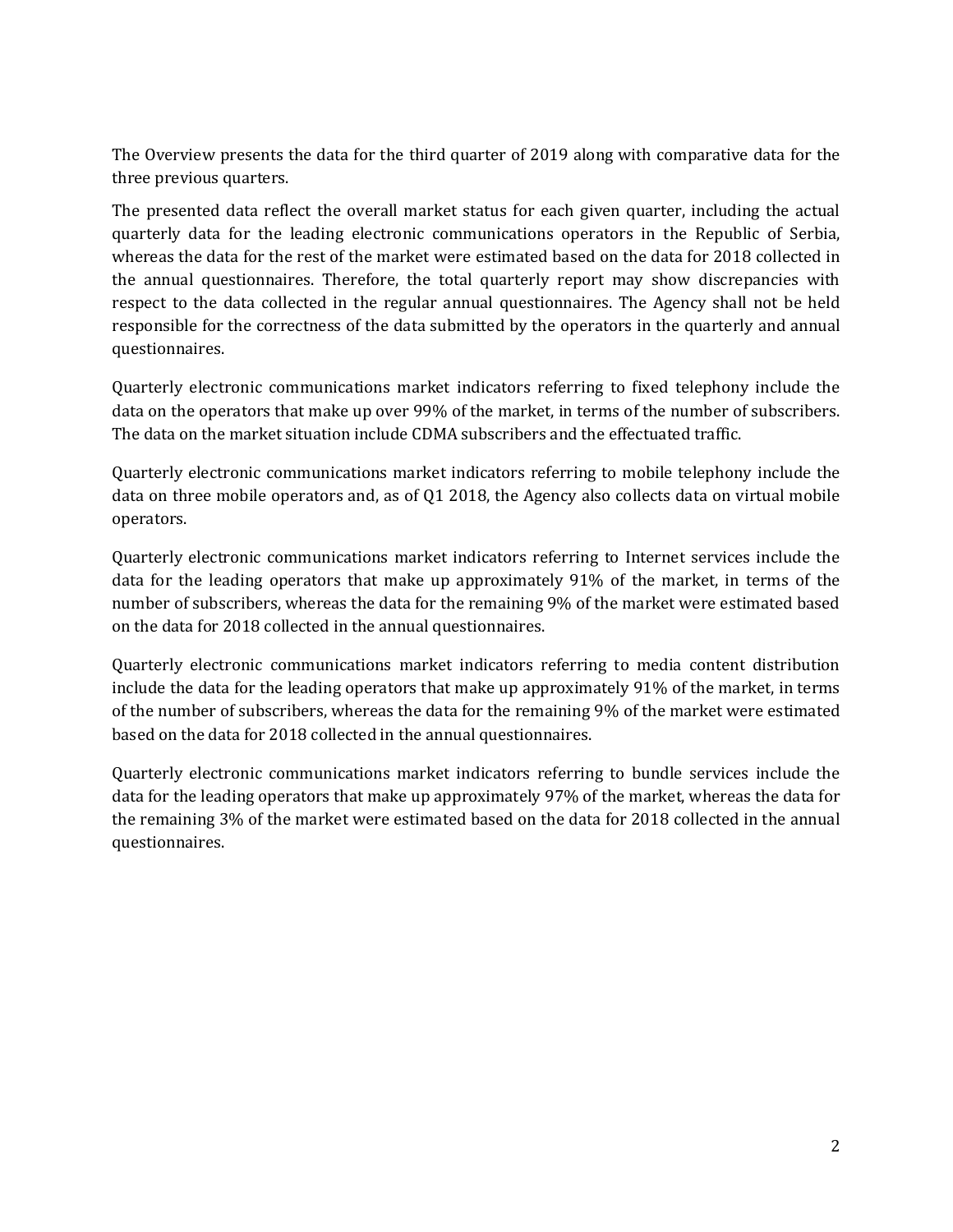The Overview presents the data for the third quarter of 2019 along with comparative data for the three previous quarters.

The presented data reflect the overall market status for each given quarter, including the actual quarterly data for the leading electronic communications operators in the Republic of Serbia, whereas the data for the rest of the market were estimated based on the data for 2018 collected in the annual questionnaires. Therefore, the total quarterly report may show discrepancies with respect to the data collected in the regular annual questionnaires. The Agency shall not be held responsible for the correctness of the data submitted by the operators in the quarterly and annual questionnaires.

Quarterly electronic communications market indicators referring to fixed telephony include the data on the operators that make up over 99% of the market, in terms of the number of subscribers. The data on the market situation include CDMA subscribers and the effectuated traffic.

Quarterly electronic communications market indicators referring to mobile telephony include the data on three mobile operators and, as of Q1 2018, the Agency also collects data on virtual mobile operators.

Quarterly electronic communications market indicators referring to Internet services include the data for the leading operators that make up approximately 91% of the market, in terms of the number of subscribers, whereas the data for the remaining 9% of the market were estimated based on the data for 2018 collected in the annual questionnaires.

Quarterly electronic communications market indicators referring to media content distribution include the data for the leading operators that make up approximately 91% of the market, in terms of the number of subscribers, whereas the data for the remaining 9% of the market were estimated based on the data for 2018 collected in the annual questionnaires.

Quarterly electronic communications market indicators referring to bundle services include the data for the leading operators that make up approximately 97% of the market, whereas the data for the remaining 3% of the market were estimated based on the data for 2018 collected in the annual questionnaires.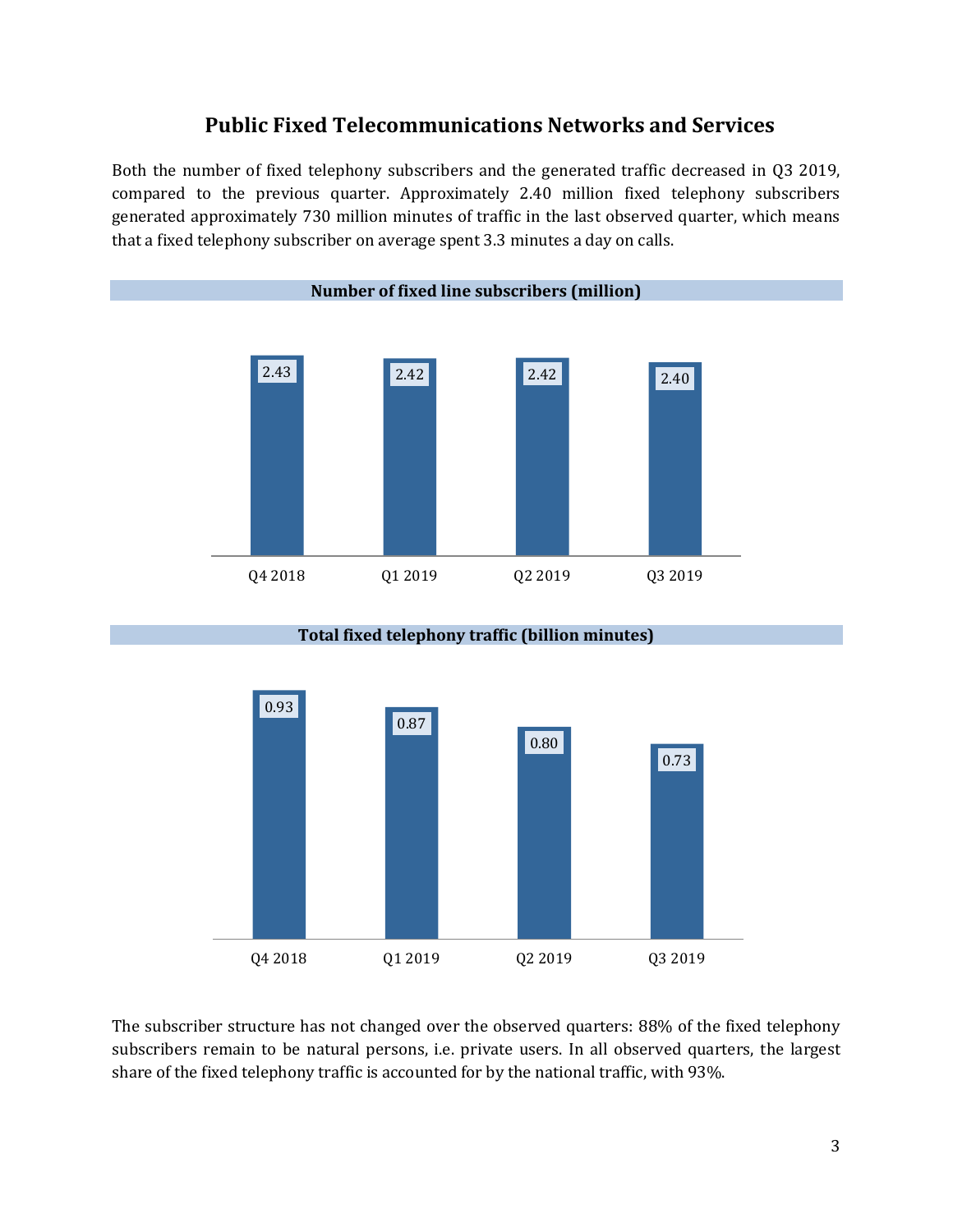## **Public Fixed Telecommunications Networks and Services**

Both the number of fixed telephony subscribers and the generated traffic decreased in Q3 2019, compared to the previous quarter. Approximately 2.40 million fixed telephony subscribers generated approximately 730 million minutes of traffic in the last observed quarter, which means that a fixed telephony subscriber on average spent 3.3 minutes a day on calls.



#### **Total fixed telephony traffic (billion minutes)**



The subscriber structure has not changed over the observed quarters: 88% of the fixed telephony subscribers remain to be natural persons, i.e. private users. In all observed quarters, the largest share of the fixed telephony traffic is accounted for by the national traffic, with 93%.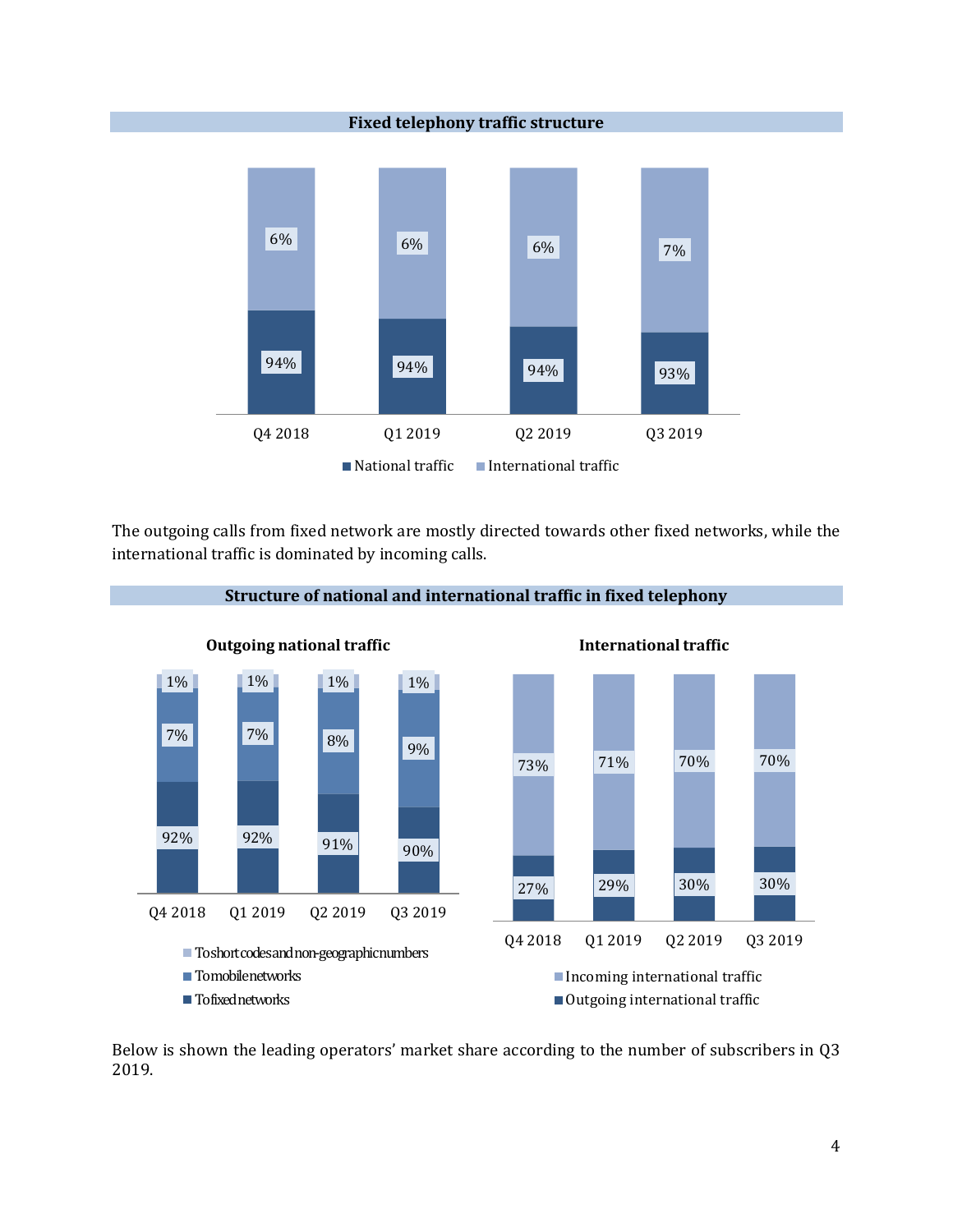

The outgoing calls from fixed network are mostly directed towards other fixed networks, while the international traffic is dominated by incoming calls.



Below is shown the leading operators' market share according to the number of subscribers in Q3 2019.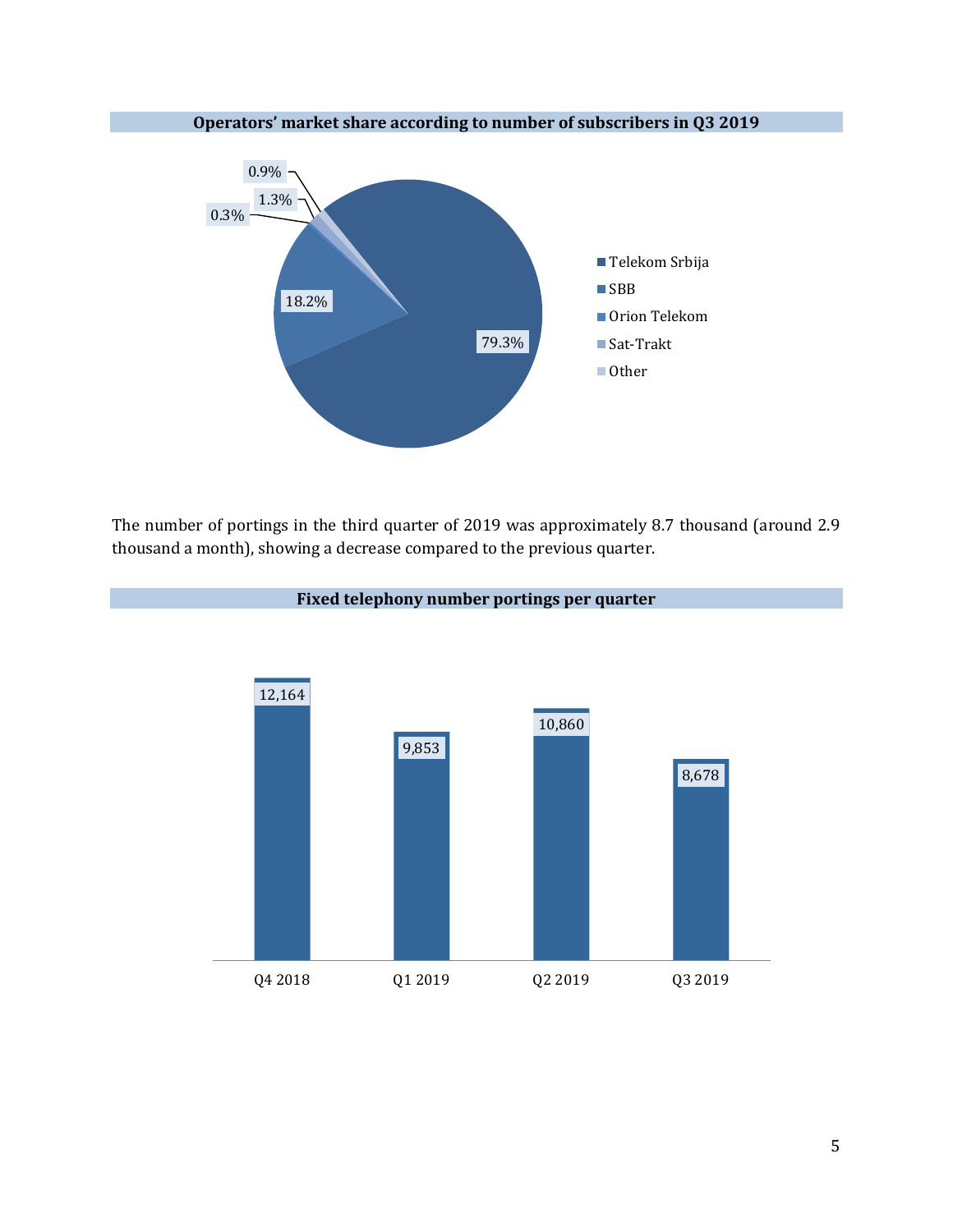

The number of portings in the third quarter of 2019 was approximately 8.7 thousand (around 2.9 thousand a month), showing a decrease compared to the previous quarter.



### **Fixed telephony number portings per quarter**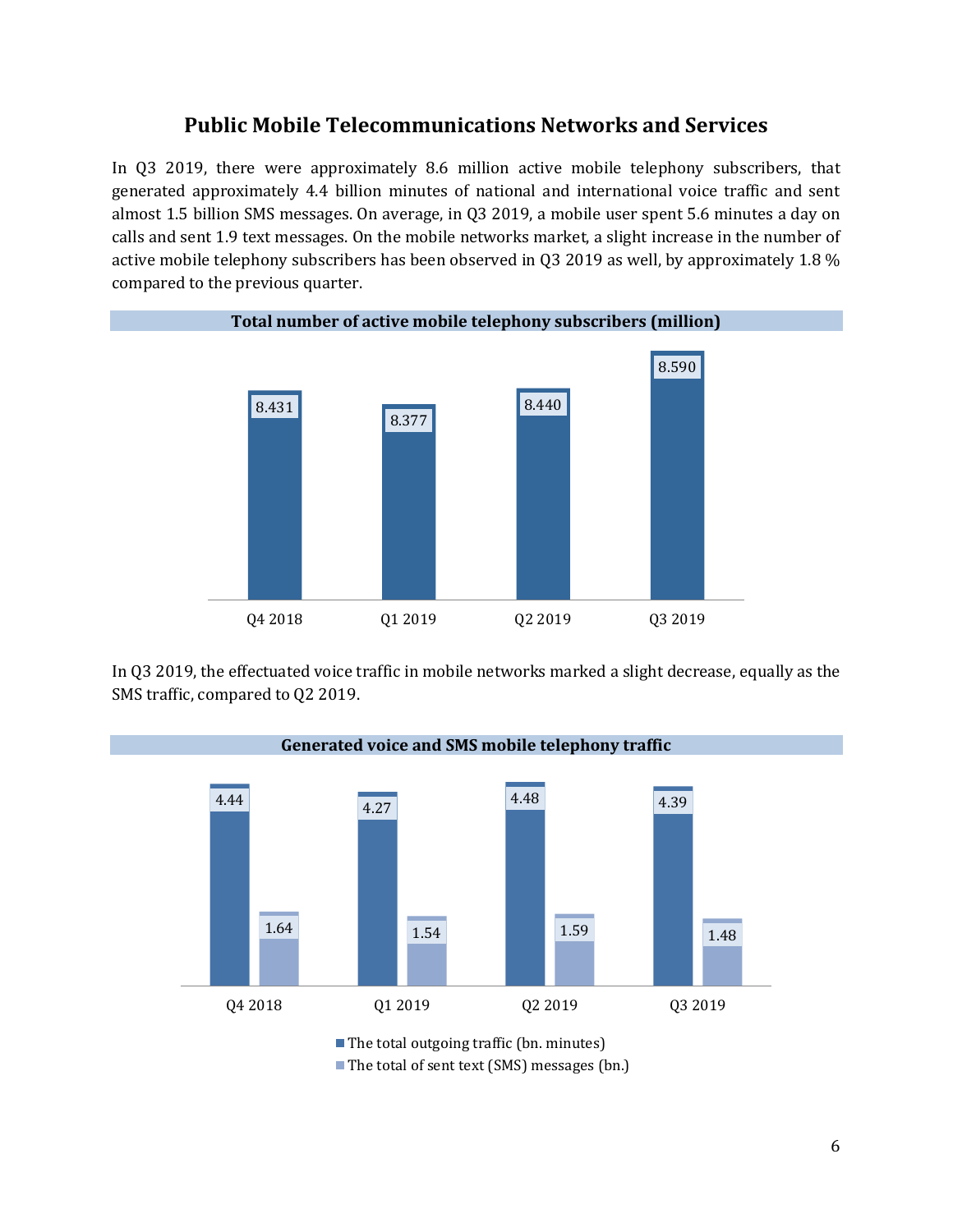## **Public Mobile Telecommunications Networks and Services**

In Q3 2019, there were approximately 8.6 million active mobile telephony subscribers, that generated approximately 4.4 billion minutes of national and international voice traffic and sent almost 1.5 billion SMS messages. On average, in Q3 2019, a mobile user spent 5.6 minutes a day on calls and sent 1.9 text messages. On the mobile networks market, a slight increase in the number of active mobile telephony subscribers has been observed in Q3 2019 as well, by approximately 1.8 % compared to the previous quarter.



In Q3 2019, the effectuated voice traffic in mobile networks marked a slight decrease, equally as the SMS traffic, compared to Q2 2019.



■ The total of sent text (SMS) messages (bn.)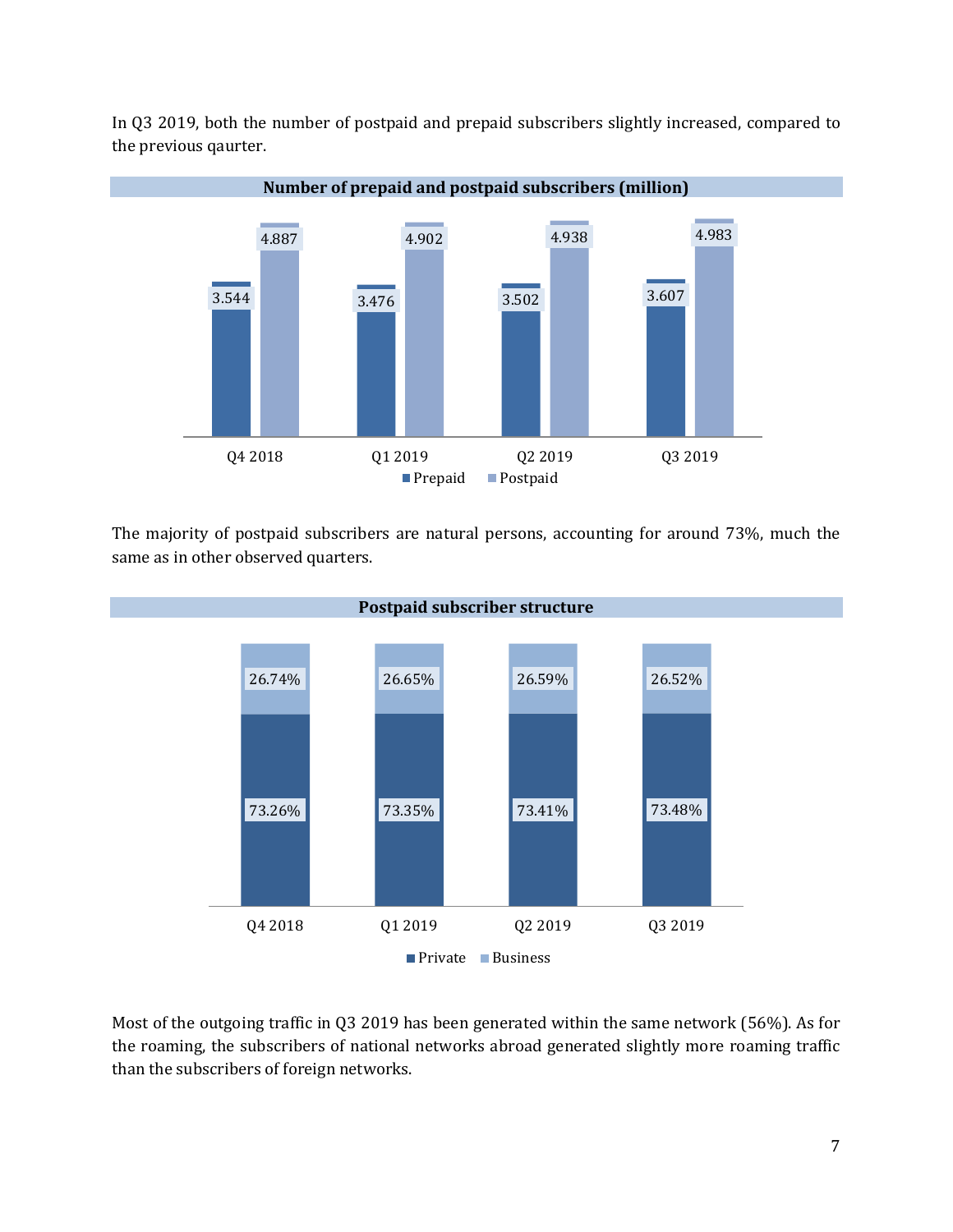

In Q3 2019, both the number of postpaid and prepaid subscribers slightly increased, compared to the previous qaurter.

The majority of postpaid subscribers are natural persons, accounting for around 73%, much the same as in other observed quarters.



Most of the outgoing traffic in Q3 2019 has been generated within the same network (56%). As for the roaming, the subscribers of national networks abroad generated slightly more roaming traffic than the subscribers of foreign networks.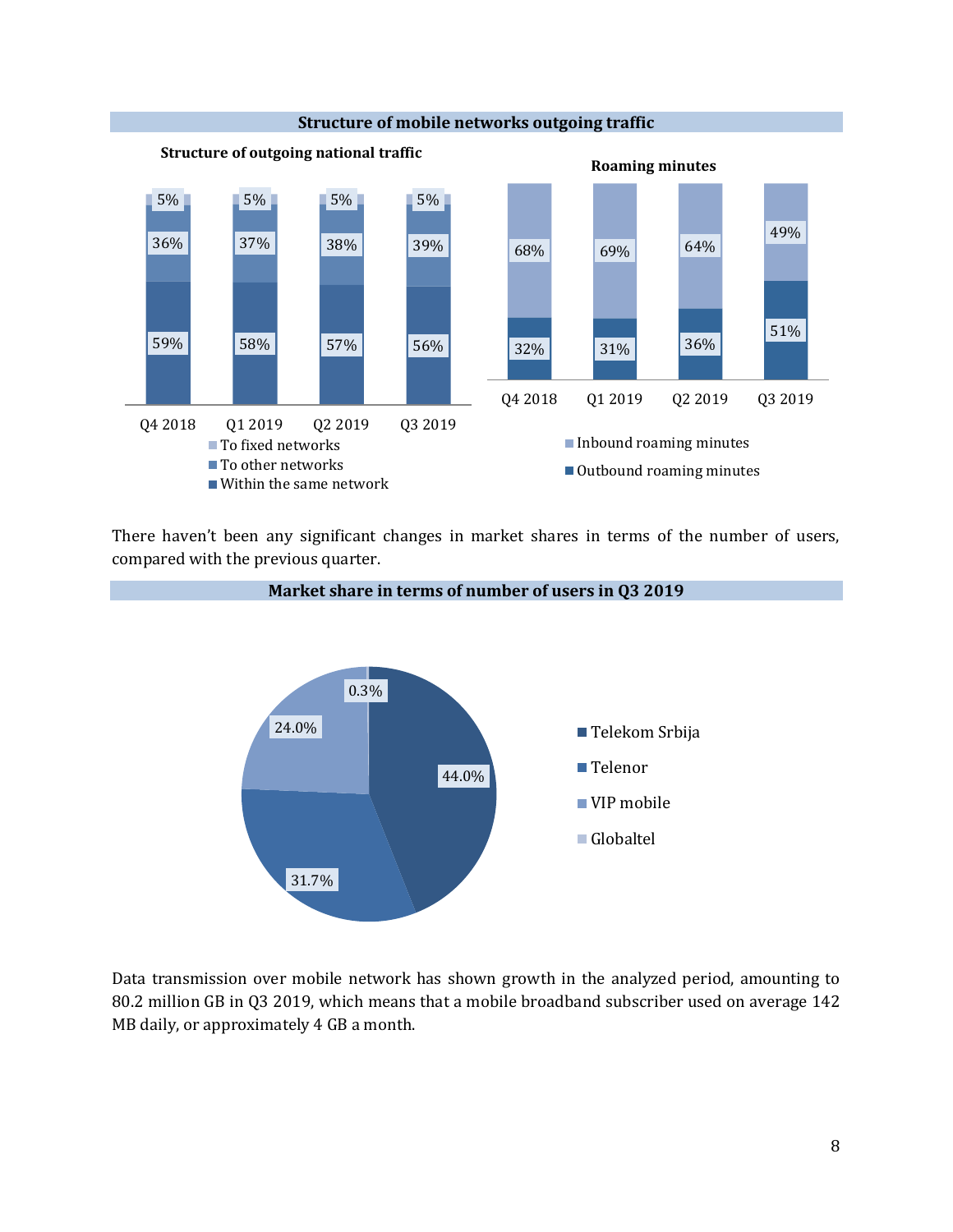

There haven't been any significant changes in market shares in terms of the number of users, compared with the previous quarter.



Data transmission over mobile network has shown growth in the analyzed period, amounting to 80.2 million GB in Q3 2019, which means that a mobile broadband subscriber used on average 142 MB daily, or approximately 4 GB a month.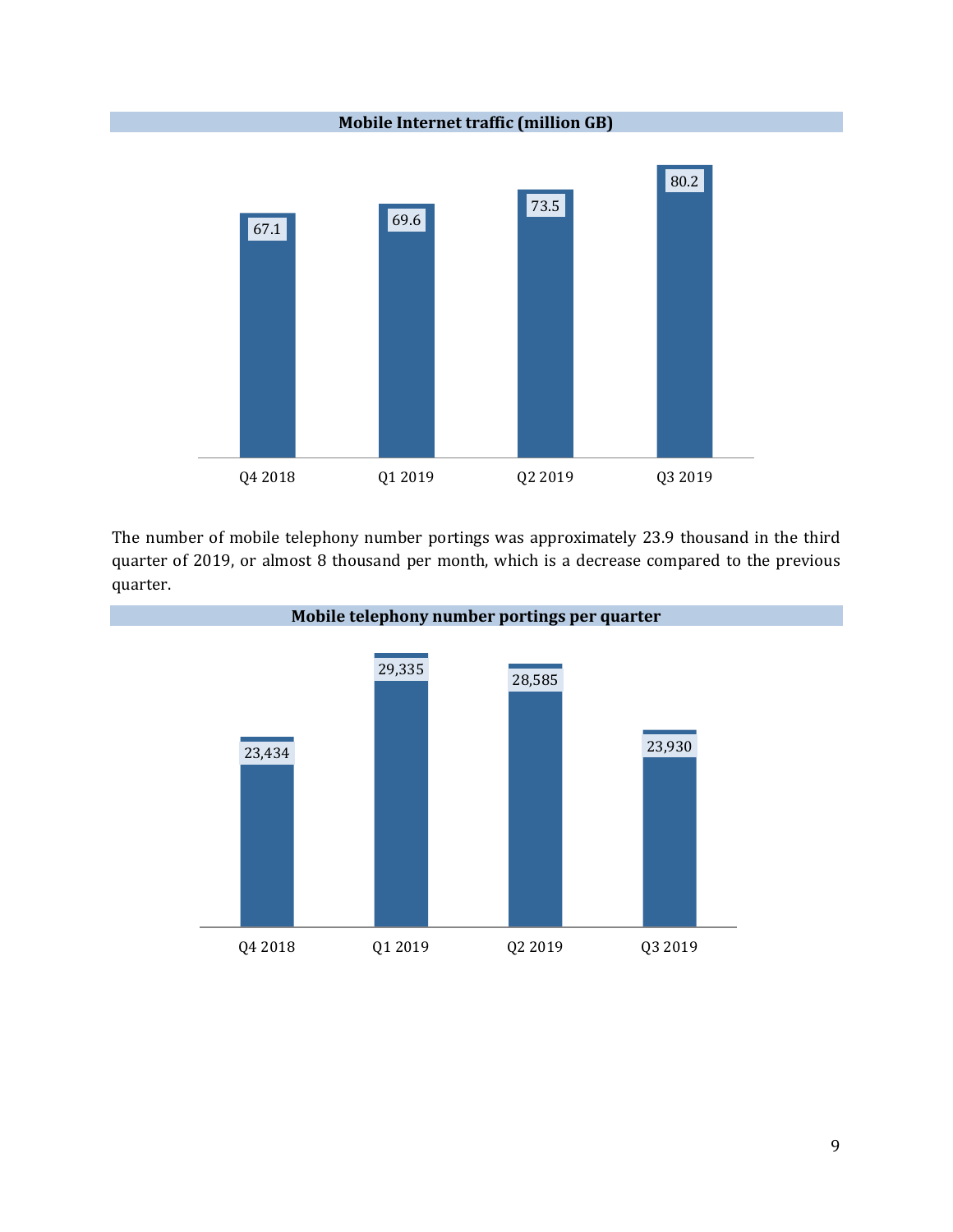

The number of mobile telephony number portings was approximately 23.9 thousand in the third quarter of 2019, or almost 8 thousand per month, which is a decrease compared to the previous quarter.

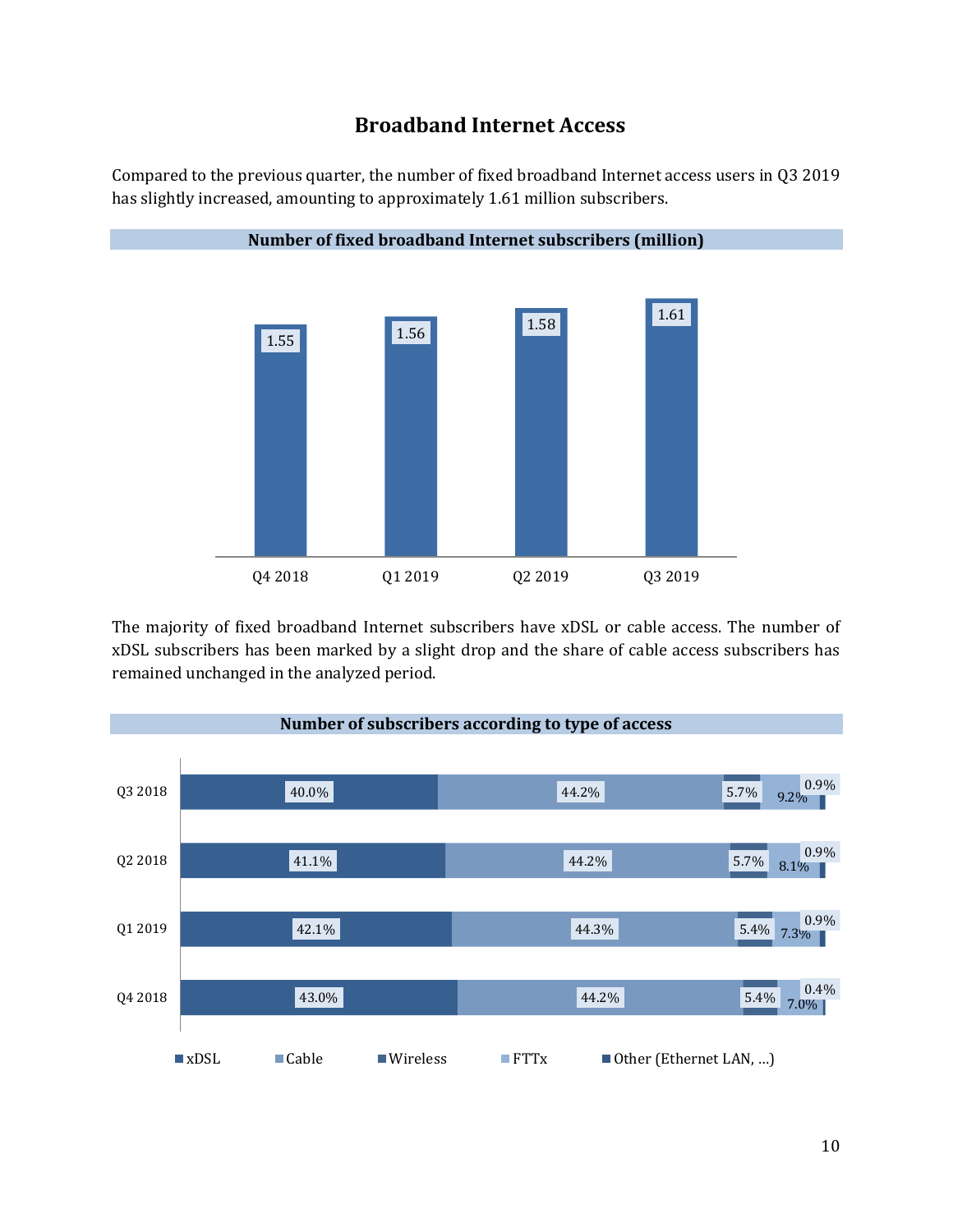# **Broadband Internet Access**





The majority of fixed broadband Internet subscribers have xDSL or cable access. The number of xDSL subscribers has been marked by a slight drop and the share of cable access subscribers has remained unchanged in the analyzed period.



**Number of fixed broadband Internet subscribers (million)**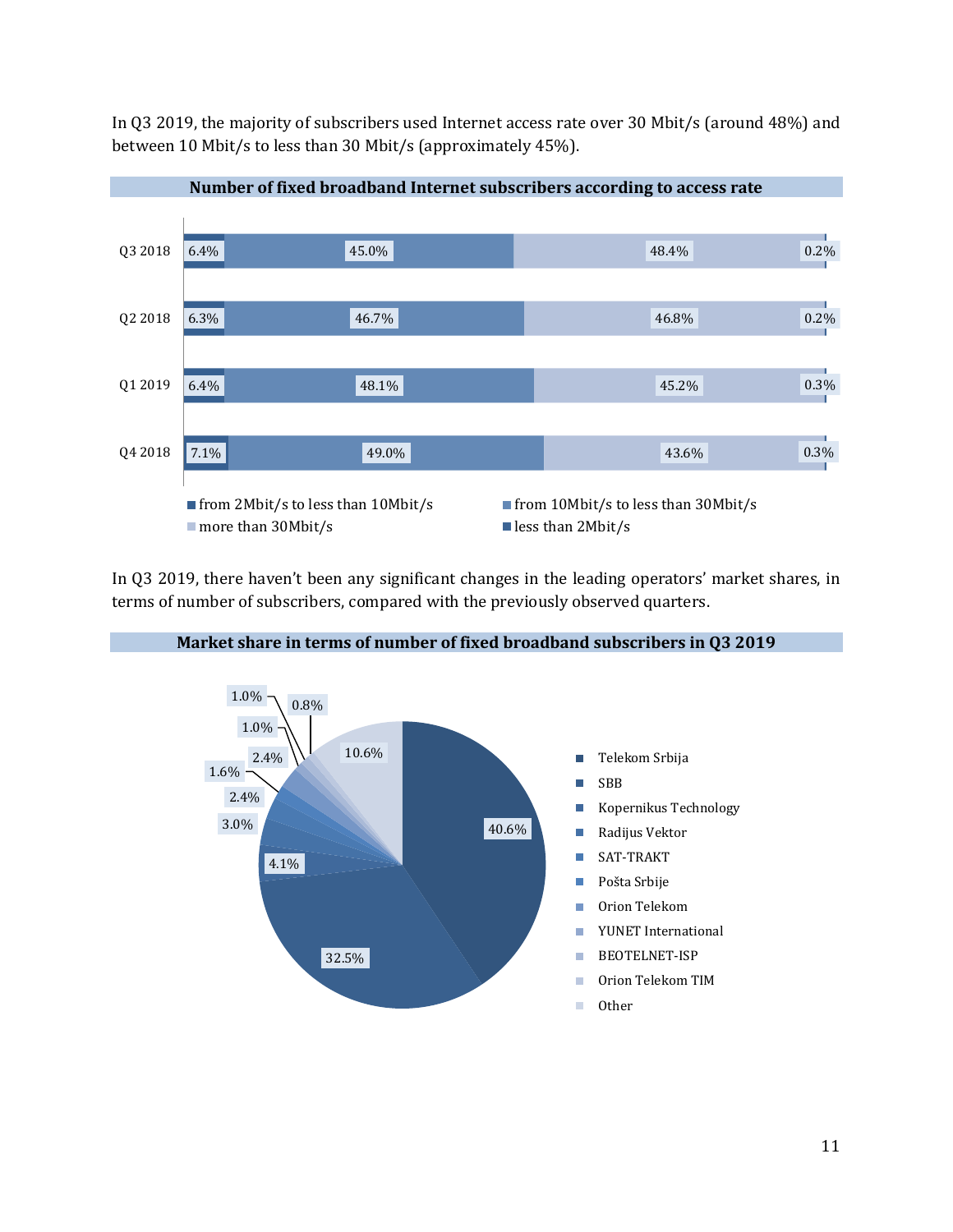In Q3 2019, the majority of subscribers used Internet access rate over 30 Mbit/s (around 48%) and between 10 Mbit/s to less than 30 Mbit/s (approximately 45%).



**Number of fixed broadband Internet subscribers according to access rate**

In Q3 2019, there haven't been any significant changes in the leading operators' market shares, in terms of number of subscribers, compared with the previously observed quarters.



#### **Market share in terms of number of fixed broadband subscribers in Q3 2019**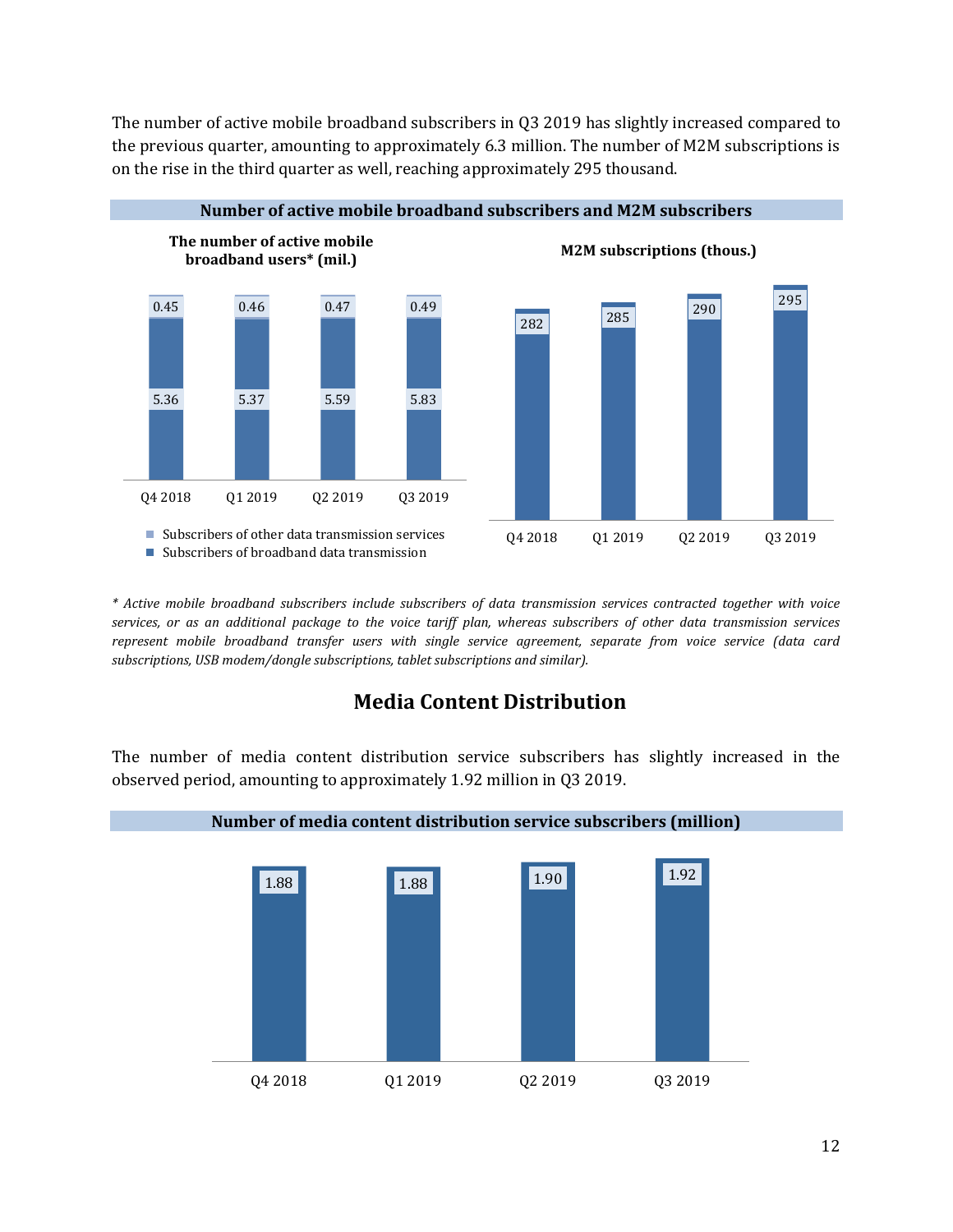The number of active mobile broadband subscribers in Q3 2019 has slightly increased compared to the previous quarter, amounting to approximately 6.3 million. The number of M2M subscriptions is on the rise in the third quarter as well, reaching approximately 295 thousand.



*\* Active mobile broadband subscribers include subscribers of data transmission services contracted together with voice services, or as an additional package to the voice tariff plan, whereas subscribers of other data transmission services represent mobile broadband transfer users with single service agreement, separate from voice service (data card subscriptions, USB modem/dongle subscriptions, tablet subscriptions and similar).*

### **Media Content Distribution**

The number of media content distribution service subscribers has slightly increased in the observed period, amounting to approximately 1.92 million in Q3 2019.

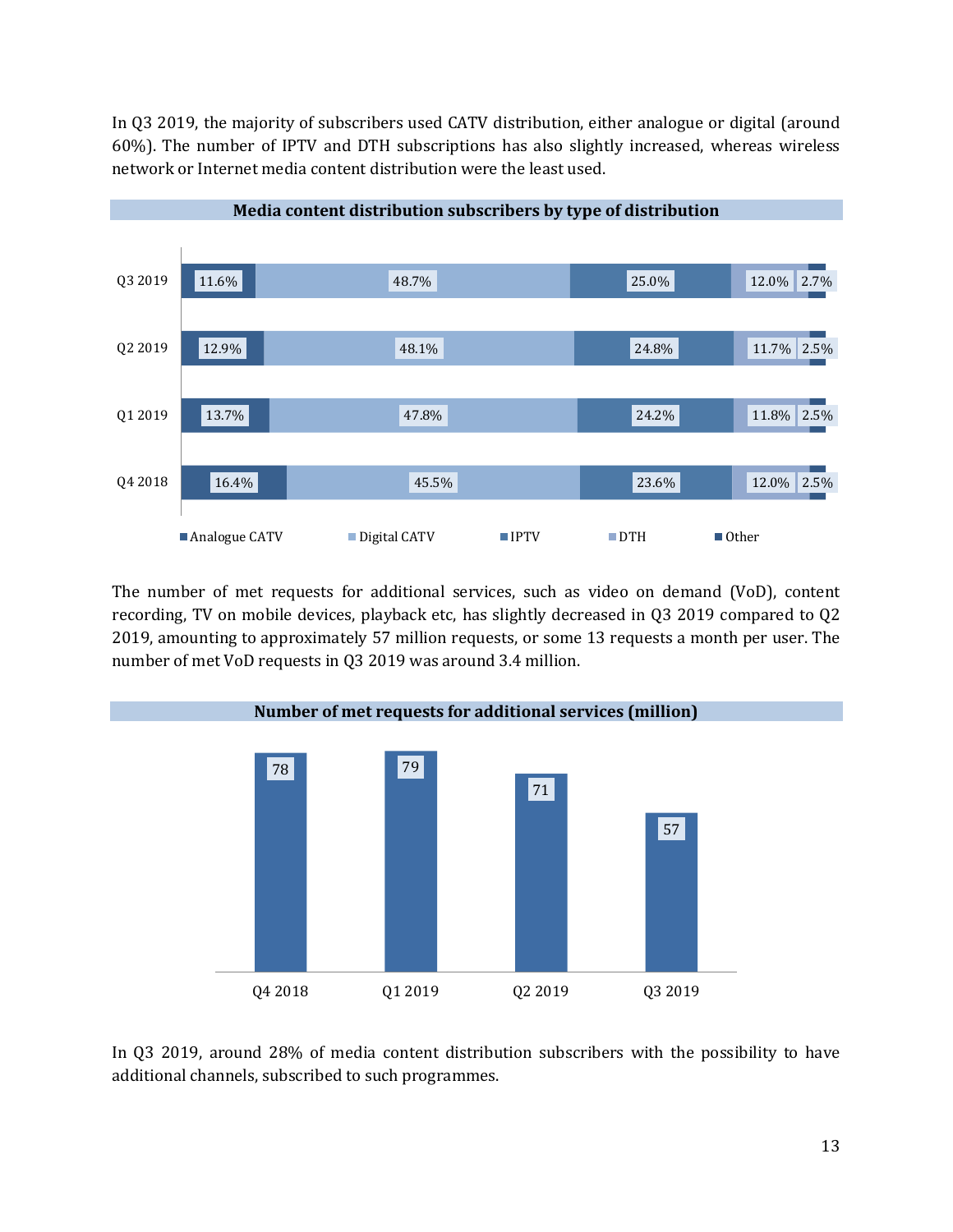In Q3 2019, the majority of subscribers used CATV distribution, either analogue or digital (around 60%). The number of IPTV and DTH subscriptions has also slightly increased, whereas wireless network or Internet media content distribution were the least used.



**Media content distribution subscribers by type of distribution**

The number of met requests for additional services, such as video on demand (VoD), content recording, TV on mobile devices, playback etc, has slightly decreased in Q3 2019 compared to Q2 2019, amounting to approximately 57 million requests, or some 13 requests a month per user. The number of met VoD requests in Q3 2019 was around 3.4 million.



In Q3 2019, around 28% of media content distribution subscribers with the possibility to have additional channels, subscribed to such programmes.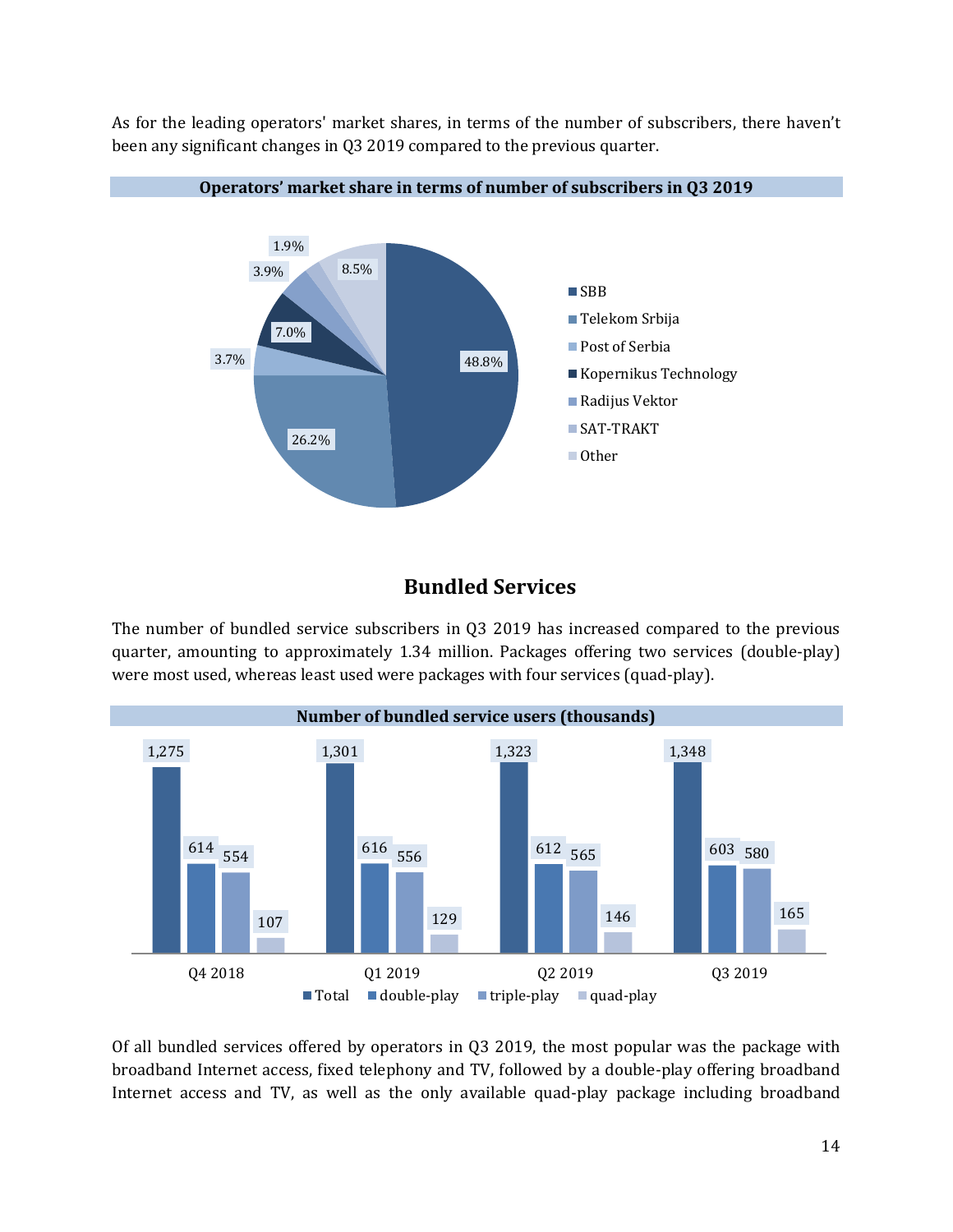As for the leading operators' market shares, in terms of the number of subscribers, there haven't been any significant changes in Q3 2019 compared to the previous quarter.



#### **Operators' market share in terms of number of subscribers in Q3 2019**

#### **Bundled Services**

The number of bundled service subscribers in Q3 2019 has increased compared to the previous quarter, amounting to approximately 1.34 million. Packages offering two services (double-play) were most used, whereas least used were packages with four services (quad-play).



Of all bundled services offered by operators in Q3 2019, the most popular was the package with broadband Internet access, fixed telephony and TV, followed by a double-play offering broadband Internet access and TV, as well as the only available quad-play package including broadband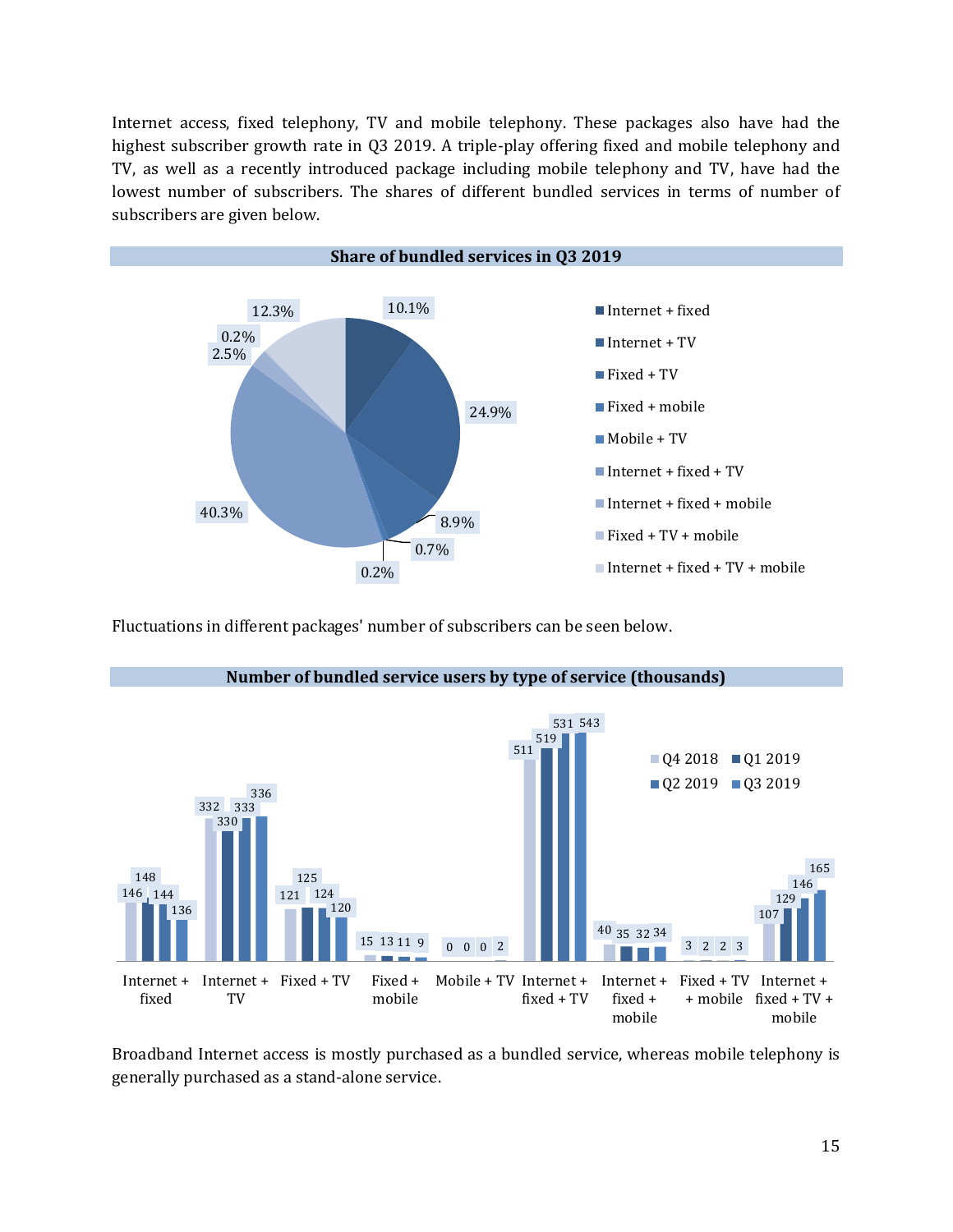Internet access, fixed telephony, TV and mobile telephony. These packages also have had the highest subscriber growth rate in Q3 2019. A triple-play offering fixed and mobile telephony and TV, as well as a recently introduced package including mobile telephony and TV, have had the lowest number of subscribers. The shares of different bundled services in terms of number of subscribers are given below.



Fluctuations in different packages' number of subscribers can be seen below.



Broadband Internet access is mostly purchased as a bundled service, whereas mobile telephony is generally purchased as a stand-alone service.